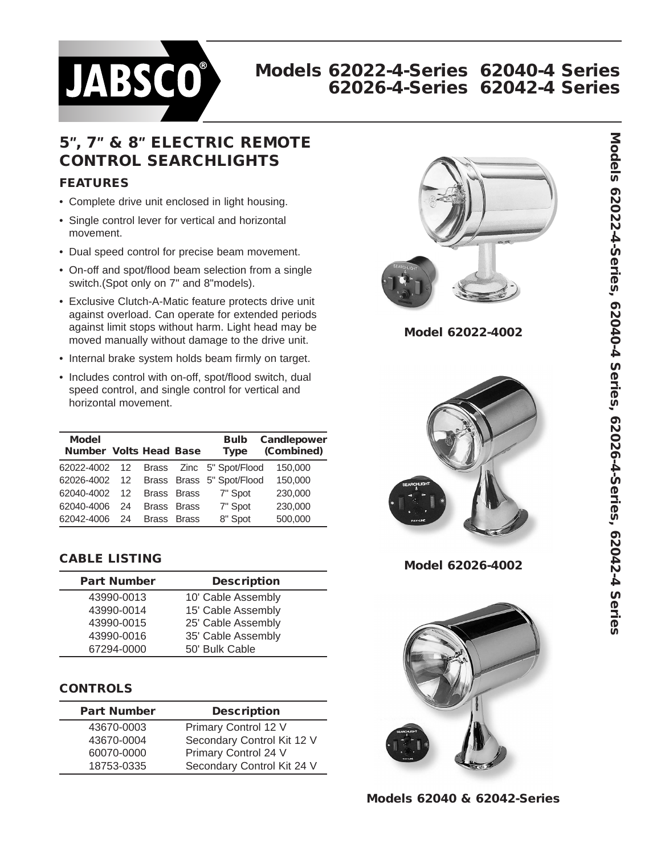

# **Models 62022-4-Series 62040-4 Series 62026-4-Series 62042-4 Series**

# **5***"***, 7***"* **& 8***"* **ELECTRIC REMOTE CONTROL SEARCHLIGHTS**

#### **FEATURES**

- Complete drive unit enclosed in light housing.
- Single control lever for vertical and horizontal movement.
- Dual speed control for precise beam movement.
- On-off and spot/flood beam selection from a single switch.(Spot only on 7" and 8"models).
- Exclusive Clutch-A-Matic feature protects drive unit against overload. Can operate for extended periods against limit stops without harm. Light head may be moved manually without damage to the drive unit.
- Internal brake system holds beam firmly on target.
- Includes control with on-off, spot/flood switch, dual speed control, and single control for vertical and horizontal movement.

| <b>Model</b><br><b>Number Volts Head Base</b> |    |              |              | <b>Bulb</b><br><b>Type</b> | Candlepower<br>(Combined) |
|-----------------------------------------------|----|--------------|--------------|----------------------------|---------------------------|
| 62022-4002                                    | 12 |              |              | Brass Zinc 5" Spot/Flood   | 150,000                   |
| 62026-4002                                    | 12 |              |              | Brass Brass 5" Spot/Flood  | 150,000                   |
| 62040-4002                                    | 12 |              | Brass Brass  | 7" Spot                    | 230,000                   |
| 62040-4006                                    | 24 | Brass        | <b>Brass</b> | 7" Spot                    | 230,000                   |
| 62042-4006                                    | 24 | <b>Brass</b> | <b>Brass</b> | 8" Spot                    | 500,000                   |

## **CABLE LISTING**

| <b>Part Number</b> | <b>Description</b> |
|--------------------|--------------------|
| 43990-0013         | 10' Cable Assembly |
| 43990-0014         | 15' Cable Assembly |
| 43990-0015         | 25' Cable Assembly |
| 43990-0016         | 35' Cable Assembly |
| 67294-0000         | 50' Bulk Cable     |

## **CONTROLS**

| <b>Part Number</b> | <b>Description</b>         |  |  |
|--------------------|----------------------------|--|--|
| 43670-0003         | Primary Control 12 V       |  |  |
| 43670-0004         | Secondary Control Kit 12 V |  |  |
| 60070-0000         | Primary Control 24 V       |  |  |
| 18753-0335         | Secondary Control Kit 24 V |  |  |



**Model 62022-4002**



**Model 62026-4002**



**Models 62040 & 62042-Series**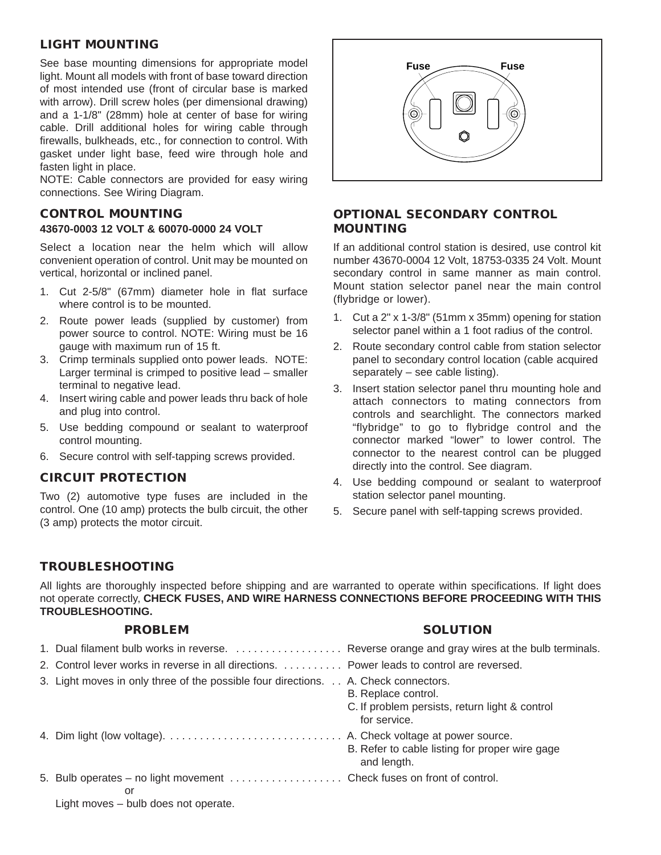### **LIGHT MOUNTING**

See base mounting dimensions for appropriate model light. Mount all models with front of base toward direction of most intended use (front of circular base is marked with arrow). Drill screw holes (per dimensional drawing) and a 1-1/8" (28mm) hole at center of base for wiring cable. Drill additional holes for wiring cable through firewalls, bulkheads, etc., for connection to control. With gasket under light base, feed wire through hole and fasten light in place.

NOTE: Cable connectors are provided for easy wiring connections. See Wiring Diagram.

## **CONTROL MOUNTING**

#### **43670-0003 12 VOLT & 60070-0000 24 VOLT**

Select a location near the helm which will allow convenient operation of control. Unit may be mounted on vertical, horizontal or inclined panel.

- 1. Cut 2-5/8" (67mm) diameter hole in flat surface where control is to be mounted.
- 2. Route power leads (supplied by customer) from power source to control. NOTE: Wiring must be 16 gauge with maximum run of 15 ft.
- 3. Crimp terminals supplied onto power leads. NOTE: Larger terminal is crimped to positive lead – smaller terminal to negative lead.
- 4. Insert wiring cable and power leads thru back of hole and plug into control.
- 5. Use bedding compound or sealant to waterproof control mounting.
- 6. Secure control with self-tapping screws provided.

#### **CIRCUIT PROTECTION**

Two (2) automotive type fuses are included in the control. One (10 amp) protects the bulb circuit, the other (3 amp) protects the motor circuit.



#### **OPTIONAL SECONDARY CONTROL MOUNTING**

If an additional control station is desired, use control kit number 43670-0004 12 Volt, 18753-0335 24 Volt. Mount secondary control in same manner as main control. Mount station selector panel near the main control (flybridge or lower).

- 1. Cut a 2" x 1-3/8" (51mm x 35mm) opening for station selector panel within a 1 foot radius of the control.
- 2. Route secondary control cable from station selector panel to secondary control location (cable acquired separately – see cable listing).
- 3. Insert station selector panel thru mounting hole and attach connectors to mating connectors from controls and searchlight. The connectors marked "flybridge" to go to flybridge control and the connector marked "lower" to lower control. The connector to the nearest control can be plugged directly into the control. See diagram.
- 4. Use bedding compound or sealant to waterproof station selector panel mounting.
- 5. Secure panel with self-tapping screws provided.

#### **TROUBLESHOOTING**

All lights are thoroughly inspected before shipping and are warranted to operate within specifications. If light does not operate correctly, **CHECK FUSES, AND WIRE HARNESS CONNECTIONS BEFORE PROCEEDING WITH THIS TROUBLESHOOTING.**

#### PROBLEM SOLUTION

| 1. Dual filament bulb works in reverse.  Reverse orange and gray wires at the bulb terminals. |                                                                                       |
|-----------------------------------------------------------------------------------------------|---------------------------------------------------------------------------------------|
| 2. Control lever works in reverse in all directions. Power leads to control are reversed.     |                                                                                       |
| 3. Light moves in only three of the possible four directions. A. Check connectors.            | B. Replace control.<br>C. If problem persists, return light & control<br>for service. |
|                                                                                               | B. Refer to cable listing for proper wire gage<br>and length.                         |
| or                                                                                            |                                                                                       |

Light moves – bulb does not operate.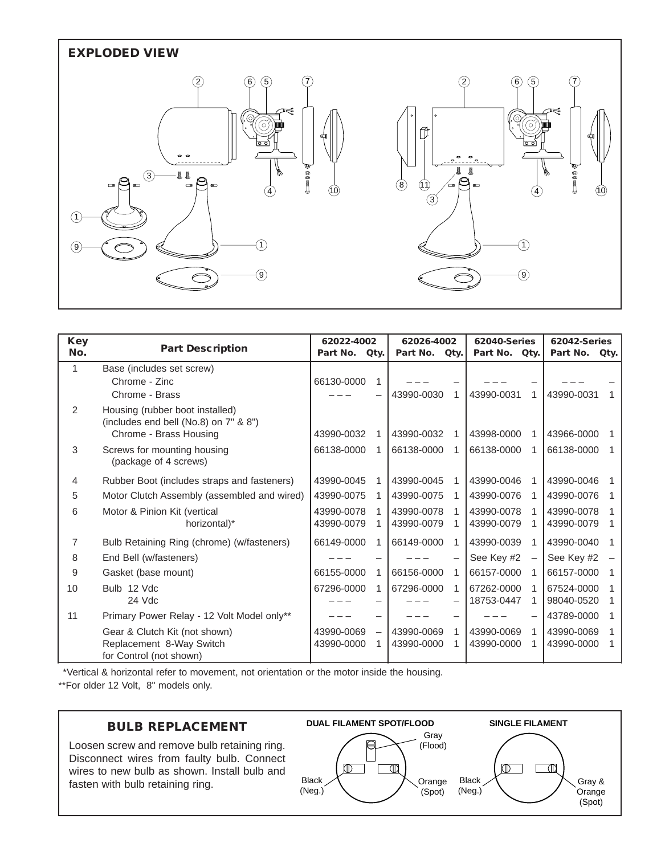

| <b>Key</b> | <b>Part Description</b>                                                                            | 62022-4002               |                        | 62026-4002               |      | 62040-Series             |      | 62042-Series             |      |
|------------|----------------------------------------------------------------------------------------------------|--------------------------|------------------------|--------------------------|------|--------------------------|------|--------------------------|------|
| No.        |                                                                                                    | Part No.                 | Qty.                   | Part No.                 | Qty. | Part No.                 | Qty. | Part No.                 | Qty. |
| 1          | Base (includes set screw)<br>Chrome - Zinc<br>Chrome - Brass                                       | 66130-0000               |                        | 43990-0030               |      | 43990-0031               | 1    | 43990-0031               |      |
| 2          | Housing (rubber boot installed)<br>(includes end bell (No.8) on 7" & 8")<br>Chrome - Brass Housing | 43990-0032               |                        | 43990-0032               |      | 43998-0000               |      | 43966-0000               |      |
| 3          | Screws for mounting housing<br>(package of 4 screws)                                               | 66138-0000               |                        | 66138-0000               |      | 66138-0000               |      | 66138-0000               |      |
| 4          | Rubber Boot (includes straps and fasteners)                                                        | 43990-0045               |                        | 43990-0045               |      | 43990-0046               |      | 43990-0046               |      |
| 5          | Motor Clutch Assembly (assembled and wired)                                                        | 43990-0075               |                        | 43990-0075               |      | 43990-0076               |      | 43990-0076               |      |
| 6          | Motor & Pinion Kit (vertical<br>horizontal)*                                                       | 43990-0078<br>43990-0079 |                        | 43990-0078<br>43990-0079 |      | 43990-0078<br>43990-0079 |      | 43990-0078<br>43990-0079 |      |
| 7          | Bulb Retaining Ring (chrome) (w/fasteners)                                                         | 66149-0000               | 1                      | 66149-0000               |      | 43990-0039               |      | 43990-0040               |      |
| 8          | End Bell (w/fasteners)                                                                             |                          |                        |                          |      | See Key #2               |      | See Key #2               |      |
| 9          | Gasket (base mount)                                                                                | 66155-0000               | 1                      | 66156-0000               |      | 66157-0000               |      | 66157-0000               |      |
| 10         | Bulb 12 Vdc<br>24 Vdc                                                                              | 67296-0000               |                        | 67296-0000               |      | 67262-0000<br>18753-0447 |      | 67524-0000<br>98040-0520 |      |
| 11         | Primary Power Relay - 12 Volt Model only**                                                         |                          |                        |                          |      |                          |      | 43789-0000               |      |
|            | Gear & Clutch Kit (not shown)<br>Replacement 8-Way Switch<br>for Control (not shown)               | 43990-0069<br>43990-0000 | $\qquad \qquad -$<br>1 | 43990-0069<br>43990-0000 |      | 43990-0069<br>43990-0000 |      | 43990-0069<br>43990-0000 |      |

\*Vertical & horizontal refer to movement, not orientation or the motor inside the housing. \*\*For older 12 Volt, 8" models only.